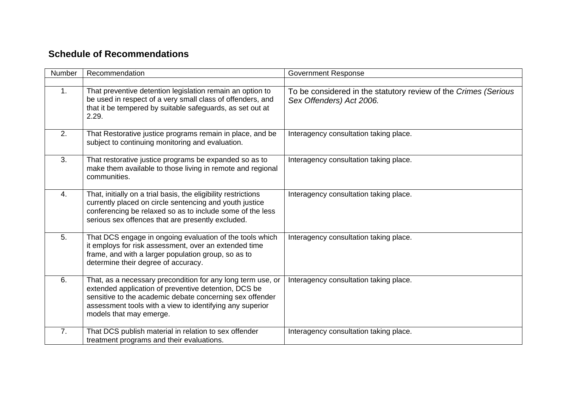## **Schedule of Recommendations**

| Number         | Recommendation                                                                                                                                                                                                                                                         | <b>Government Response</b>                                                                  |
|----------------|------------------------------------------------------------------------------------------------------------------------------------------------------------------------------------------------------------------------------------------------------------------------|---------------------------------------------------------------------------------------------|
|                |                                                                                                                                                                                                                                                                        |                                                                                             |
| 1 <sub>1</sub> | That preventive detention legislation remain an option to<br>be used in respect of a very small class of offenders, and<br>that it be tempered by suitable safeguards, as set out at<br>2.29.                                                                          | To be considered in the statutory review of the Crimes (Serious<br>Sex Offenders) Act 2006. |
| 2.             | That Restorative justice programs remain in place, and be<br>subject to continuing monitoring and evaluation.                                                                                                                                                          | Interagency consultation taking place.                                                      |
| 3.             | That restorative justice programs be expanded so as to<br>make them available to those living in remote and regional<br>communities.                                                                                                                                   | Interagency consultation taking place.                                                      |
| 4.             | That, initially on a trial basis, the eligibility restrictions<br>currently placed on circle sentencing and youth justice<br>conferencing be relaxed so as to include some of the less<br>serious sex offences that are presently excluded.                            | Interagency consultation taking place.                                                      |
| 5 <sub>1</sub> | That DCS engage in ongoing evaluation of the tools which<br>it employs for risk assessment, over an extended time<br>frame, and with a larger population group, so as to<br>determine their degree of accuracy.                                                        | Interagency consultation taking place.                                                      |
| 6.             | That, as a necessary precondition for any long term use, or<br>extended application of preventive detention, DCS be<br>sensitive to the academic debate concerning sex offender<br>assessment tools with a view to identifying any superior<br>models that may emerge. | Interagency consultation taking place.                                                      |
| 7.             | That DCS publish material in relation to sex offender<br>treatment programs and their evaluations.                                                                                                                                                                     | Interagency consultation taking place.                                                      |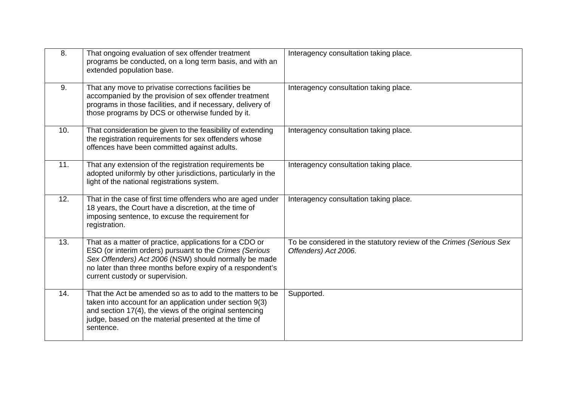| 8.  | That ongoing evaluation of sex offender treatment<br>programs be conducted, on a long term basis, and with an<br>extended population base.                                                                                                                                   | Interagency consultation taking place.                                                      |
|-----|------------------------------------------------------------------------------------------------------------------------------------------------------------------------------------------------------------------------------------------------------------------------------|---------------------------------------------------------------------------------------------|
| 9.  | That any move to privatise corrections facilities be<br>accompanied by the provision of sex offender treatment<br>programs in those facilities, and if necessary, delivery of<br>those programs by DCS or otherwise funded by it.                                            | Interagency consultation taking place.                                                      |
| 10. | That consideration be given to the feasibility of extending<br>the registration requirements for sex offenders whose<br>offences have been committed against adults.                                                                                                         | Interagency consultation taking place.                                                      |
| 11. | That any extension of the registration requirements be<br>adopted uniformly by other jurisdictions, particularly in the<br>light of the national registrations system.                                                                                                       | Interagency consultation taking place.                                                      |
| 12. | That in the case of first time offenders who are aged under<br>18 years, the Court have a discretion, at the time of<br>imposing sentence, to excuse the requirement for<br>registration.                                                                                    | Interagency consultation taking place.                                                      |
| 13. | That as a matter of practice, applications for a CDO or<br>ESO (or interim orders) pursuant to the Crimes (Serious<br>Sex Offenders) Act 2006 (NSW) should normally be made<br>no later than three months before expiry of a respondent's<br>current custody or supervision. | To be considered in the statutory review of the Crimes (Serious Sex<br>Offenders) Act 2006. |
| 14. | That the Act be amended so as to add to the matters to be<br>taken into account for an application under section 9(3)<br>and section 17(4), the views of the original sentencing<br>judge, based on the material presented at the time of<br>sentence.                       | Supported.                                                                                  |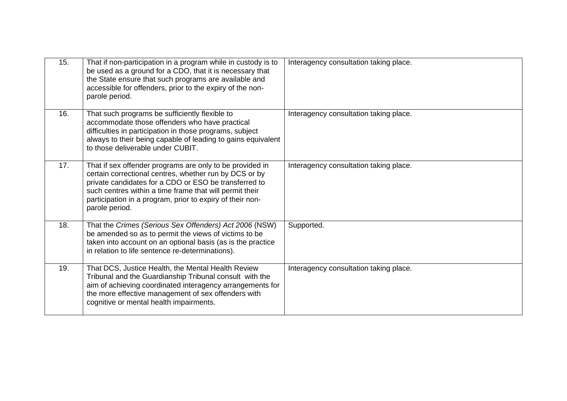| 15. | That if non-participation in a program while in custody is to<br>be used as a ground for a CDO, that it is necessary that<br>the State ensure that such programs are available and<br>accessible for offenders, prior to the expiry of the non-<br>parole period.                                                     | Interagency consultation taking place. |
|-----|-----------------------------------------------------------------------------------------------------------------------------------------------------------------------------------------------------------------------------------------------------------------------------------------------------------------------|----------------------------------------|
| 16. | That such programs be sufficiently flexible to<br>accommodate those offenders who have practical<br>difficulties in participation in those programs, subject<br>always to their being capable of leading to gains equivalent<br>to those deliverable under CUBIT.                                                     | Interagency consultation taking place. |
| 17. | That if sex offender programs are only to be provided in<br>certain correctional centres, whether run by DCS or by<br>private candidates for a CDO or ESO be transferred to<br>such centres within a time frame that will permit their<br>participation in a program, prior to expiry of their non-<br>parole period. | Interagency consultation taking place. |
| 18. | That the Crimes (Serious Sex Offenders) Act 2006 (NSW)<br>be amended so as to permit the views of victims to be<br>taken into account on an optional basis (as is the practice<br>in relation to life sentence re-determinations).                                                                                    | Supported.                             |
| 19. | That DCS, Justice Health, the Mental Health Review<br>Tribunal and the Guardianship Tribunal consult with the<br>aim of achieving coordinated interagency arrangements for<br>the more effective management of sex offenders with<br>cognitive or mental health impairments.                                          | Interagency consultation taking place. |